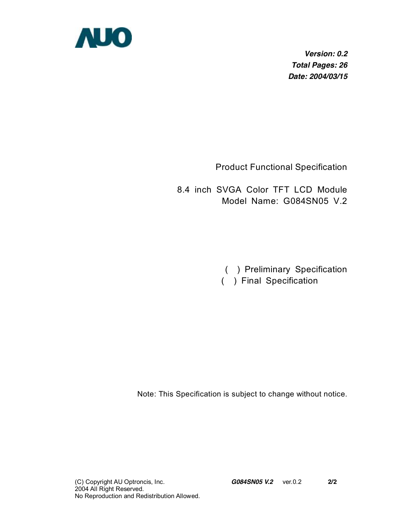

*Version: 0.2 Total Pages: 26 Date: 2004/03/15* 

Product Functional Specification

8.4 inch SVGA Color TFT LCD Module Model Name: G084SN05 V.2

( ) Preliminary Specification

( ) Final Specification

Note: This Specification is subject to change without notice.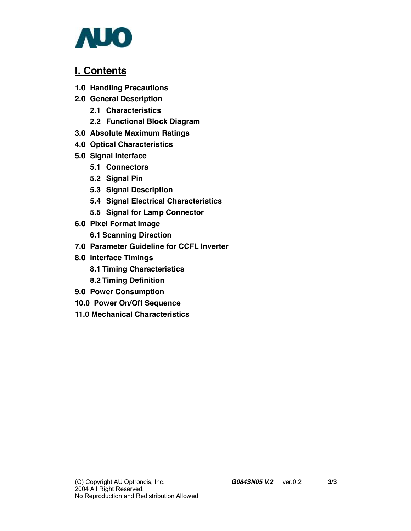

## **I. Contents**

- **1.0 Handling Precautions**
- **2.0 General Description** 
	- **2.1 Characteristics**
	- **2.2 Functional Block Diagram**
- **3.0 Absolute Maximum Ratings**
- **4.0 Optical Characteristics**
- **5.0 Signal Interface** 
	- **5.1 Connectors**
	- **5.2 Signal Pin**
	- **5.3 Signal Description**
	- **5.4 Signal Electrical Characteristics**
	- **5.5 Signal for Lamp Connector**
- **6.0 Pixel Format Image** 
	- **6.1 Scanning Direction**
- **7.0 Parameter Guideline for CCFL Inverter**
- **8.0 Interface Timings** 
	- **8.1 Timing Characteristics**
	- **8.2 Timing Definition**
- **9.0 Power Consumption**
- **10.0 Power On/Off Sequence**
- **11.0 Mechanical Characteristics**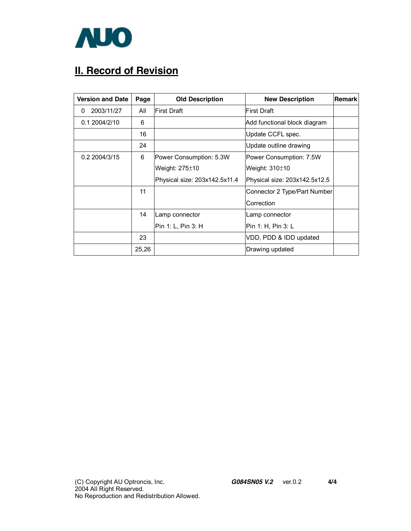

# **II. Record of Revision**

| <b>Version and Date</b> | Page  | <b>Old Description</b>        | <b>New Description</b>        | <b>Remark</b> |
|-------------------------|-------|-------------------------------|-------------------------------|---------------|
| 2003/11/27<br>0         | All   | <b>First Draft</b>            | First Draft                   |               |
| 0.1 2004/2/10           | 6     |                               | Add functional block diagram  |               |
|                         | 16    |                               | Update CCFL spec.             |               |
|                         | 24    |                               | Update outline drawing        |               |
| 0.2 2004/3/15           | 6     | Power Consumption: 5.3W       | Power Consumption: 7.5W       |               |
|                         |       | Weight: 275±10                | Weight: $310±10$              |               |
|                         |       | Physical size: 203x142.5x11.4 | Physical size: 203x142.5x12.5 |               |
|                         | 11    |                               | Connector 2 Type/Part Number  |               |
|                         |       |                               | Correction                    |               |
|                         | 14    | Lamp connector                | Lamp connector                |               |
|                         |       | Pin 1: L, Pin 3: H            | Pin 1: H, Pin 3: L            |               |
|                         | 23    |                               | VDD, PDD & IDD updated        |               |
|                         | 25,26 |                               | Drawing updated               |               |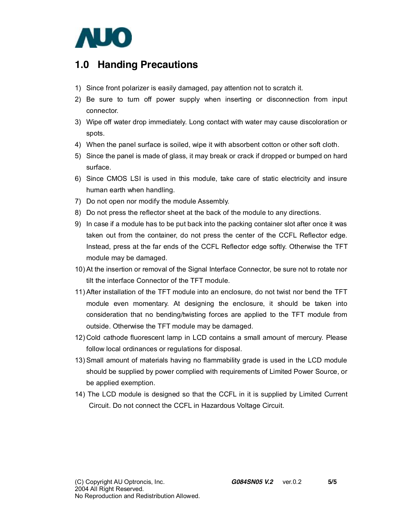

## **1.0 Handing Precautions**

- 1) Since front polarizer is easily damaged, pay attention not to scratch it.
- 2) Be sure to turn off power supply when inserting or disconnection from input connector.
- 3) Wipe off water drop immediately. Long contact with water may cause discoloration or spots.
- 4) When the panel surface is soiled, wipe it with absorbent cotton or other soft cloth.
- 5) Since the panel is made of glass, it may break or crack if dropped or bumped on hard surface.
- 6) Since CMOS LSI is used in this module, take care of static electricity and insure human earth when handling.
- 7) Do not open nor modify the module Assembly.
- 8) Do not press the reflector sheet at the back of the module to any directions.
- 9) In case if a module has to be put back into the packing container slot after once it was taken out from the container, do not press the center of the CCFL Reflector edge. Instead, press at the far ends of the CCFL Reflector edge softly. Otherwise the TFT module may be damaged.
- 10) At the insertion or removal of the Signal Interface Connector, be sure not to rotate nor tilt the interface Connector of the TFT module.
- 11) After installation of the TFT module into an enclosure, do not twist nor bend the TFT module even momentary. At designing the enclosure, it should be taken into consideration that no bending/twisting forces are applied to the TFT module from outside. Otherwise the TFT module may be damaged.
- 12) Cold cathode fluorescent lamp in LCD contains a small amount of mercury. Please follow local ordinances or regulations for disposal.
- 13) Small amount of materials having no flammability grade is used in the LCD module should be supplied by power complied with requirements of Limited Power Source, or be applied exemption.
- 14) The LCD module is designed so that the CCFL in it is supplied by Limited Current Circuit. Do not connect the CCFL in Hazardous Voltage Circuit.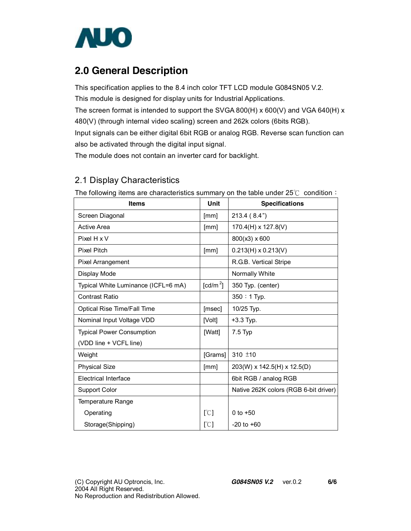

## **2.0 General Description**

This specification applies to the 8.4 inch color TFT LCD module G084SN05 V.2. This module is designed for display units for Industrial Applications. The screen format is intended to support the SVGA 800(H) x 600(V) and VGA 640(H) x 480(V) (through internal video scaling) screen and 262k colors (6bits RGB). Input signals can be either digital 6bit RGB or analog RGB. Reverse scan function can also be activated through the digital input signal.

The module does not contain an inverter card for backlight.

## 2.1 Display Characteristics

| <b>Items</b>                        | Unit                 | <b>Specifications</b>                 |
|-------------------------------------|----------------------|---------------------------------------|
| Screen Diagonal                     | [mm]                 | 213.4(8.4")                           |
| <b>Active Area</b>                  | [mm]                 | 170.4(H) x 127.8(V)                   |
| Pixel H x V                         |                      | 800(x3) x 600                         |
| <b>Pixel Pitch</b>                  | [mm]                 | $0.213(H) \times 0.213(V)$            |
| <b>Pixel Arrangement</b>            |                      | R.G.B. Vertical Stripe                |
| Display Mode                        |                      | Normally White                        |
| Typical White Luminance (ICFL=6 mA) | [cd/m <sup>2</sup> ] | 350 Typ. (center)                     |
| <b>Contrast Ratio</b>               |                      | 350: 1 Typ.                           |
| Optical Rise Time/Fall Time         | [msec]               | 10/25 Typ.                            |
| Nominal Input Voltage VDD           | [Volt]               | $+3.3$ Typ.                           |
| <b>Typical Power Consumption</b>    | [Watt]               | $7.5$ Typ                             |
| (VDD line + VCFL line)              |                      |                                       |
| Weight                              | [Grams]              | 310 $±10$                             |
| <b>Physical Size</b>                | [mm]                 | 203(W) x 142.5(H) x 12.5(D)           |
| Electrical Interface                |                      | 6bit RGB / analog RGB                 |
| <b>Support Color</b>                |                      | Native 262K colors (RGB 6-bit driver) |
| Temperature Range                   |                      |                                       |
| Operating                           | [°C]                 | 0 to $+50$                            |
| Storage(Shipping)                   | [°C]                 | $-20$ to $+60$                        |

The following items are characteristics summary on the table under  $25^{\circ}$  condition: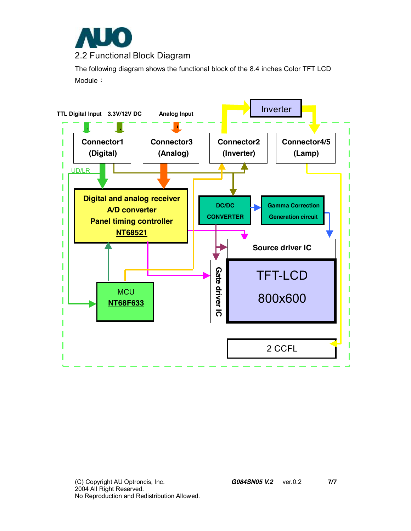

The following diagram shows the functional block of the 8.4 inches Color TFT LCD Module:

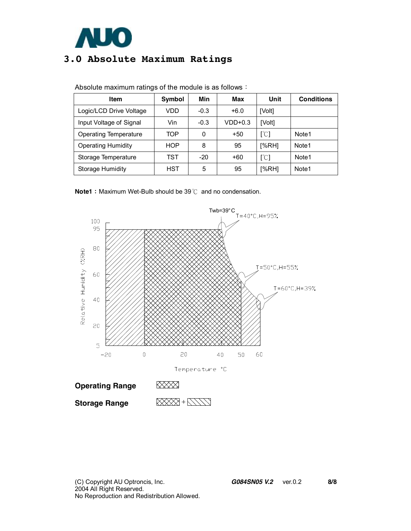

## **3.0 Absolute Maximum Ratings**

| Item                      | Symbol     | Min    | Max       | Unit                      | <b>Conditions</b> |
|---------------------------|------------|--------|-----------|---------------------------|-------------------|
| Logic/LCD Drive Voltage   | VDD        | $-0.3$ | $+6.0$    | [Volt]                    |                   |
| Input Voltage of Signal   | Vin        | $-0.3$ | $VDD+0.3$ | [Volt]                    |                   |
| Operating Temperature     | TOP        | 0      | $+50$     | $[\mathcal{C}]$           | Note1             |
| <b>Operating Humidity</b> | <b>HOP</b> | 8      | 95        | [%RH]                     | Note <sub>1</sub> |
| Storage Temperature       | TST        | $-20$  | $+60$     | $\lceil \text{°C} \rceil$ | Note1             |
| Storage Humidity          | HST        | 5      | 95        | [%RH]                     | Note1             |

Absolute maximum ratings of the module is as follows:

**Note1**: Maximum Wet-Bulb should be 39℃ and no condensation.

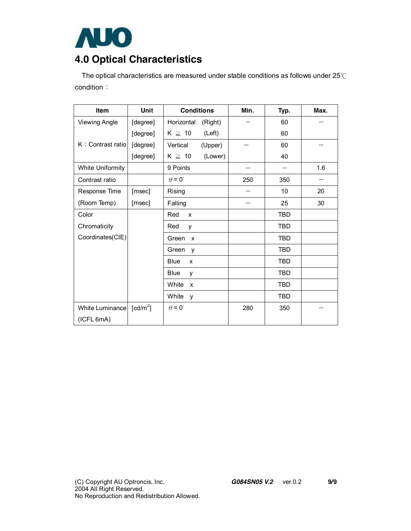

# **4.0 Optical Characteristics**

The optical characteristics are measured under stable conditions as follows under 25℃ condition:

| <b>Item</b>             | Unit                   | <b>Conditions</b>      | Min. | Typ.       | Max. |
|-------------------------|------------------------|------------------------|------|------------|------|
| <b>Viewing Angle</b>    | [degree]               | Horizontal<br>(Right)  |      | 60         |      |
|                         | [degree]               | $K \geq 10$<br>(Left)  |      | 60         |      |
| K: Contrast ratio       | [degree]               | Vertical<br>(Upper)    |      | 60         |      |
|                         | [degree]               | (Lower)<br>$K \geq 10$ |      | 40         |      |
| <b>White Uniformity</b> |                        | 9 Points               |      |            | 1.6  |
| Contrast ratio          |                        | $\theta = 0^{\circ}$   | 250  | 350        |      |
| Response Time           | [msec]                 | Rising                 |      | 10         | 20   |
| (Room Temp)             | [msec]                 | Falling                |      | 25         | 30   |
| Color                   |                        | Red<br>X               |      | <b>TBD</b> |      |
| Chromaticity            |                        | Red<br>y               |      | TBD        |      |
| Coordinates(CIE)        |                        | Green<br>$\mathsf{x}$  |      | <b>TBD</b> |      |
|                         |                        | Green<br>y             |      | <b>TBD</b> |      |
|                         |                        | <b>Blue</b><br>X       |      | TBD        |      |
|                         |                        | <b>Blue</b><br>У       |      | TBD        |      |
|                         |                        | White<br>X             |      | TBD        |      |
|                         |                        | White<br>y             |      | TBD        |      |
| White Luminance         | $\lceil cd/m^2 \rceil$ | $\theta = 0^{\circ}$   | 280  | 350        |      |
| (ICFL 6mA)              |                        |                        |      |            |      |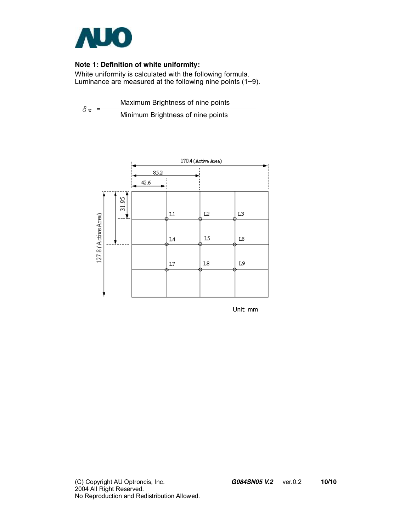

#### **Note 1: Definition of white uniformity:**

White uniformity is calculated with the following formula. Luminance are measured at the following nine points (1~9).

 $\delta$ <sub>W</sub> = Maximum Brightness of nine points Minimum Brightness of nine points



Unit: mm

(C) Copyright AU Optroncis, Inc. *G084SN05 V.2*ver.0.2 **10/10** 2004 All Right Reserved. No Reproduction and Redistribution Allowed.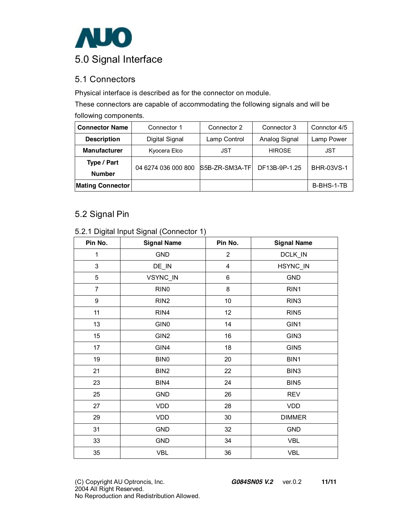

## 5.1 Connectors

Physical interface is described as for the connector on module.

These connectors are capable of accommodating the following signals and will be

|  | following components. |
|--|-----------------------|
|--|-----------------------|

| <b>Connector Name</b>        | Connector 1         | Connector 2    | Connector 3   | Connctor 4/5      |
|------------------------------|---------------------|----------------|---------------|-------------------|
| <b>Description</b>           | Digital Signal      | Lamp Control   | Analog Signal | Lamp Power        |
| <b>Manufacturer</b>          | Kyocera Elco        | <b>JST</b>     | <b>HIROSE</b> | JST               |
| Type / Part<br><b>Number</b> | 04 6274 036 000 800 | S5B-ZR-SM3A-TF | DF13B-9P-1.25 | <b>BHR-03VS-1</b> |
| <b>Mating Connector</b>      |                     |                |               | B-BHS-1-TB        |

### 5.2 Signal Pin

| 5.2.1 Digital Input Signal (Connector 1) |  |
|------------------------------------------|--|
|------------------------------------------|--|

| Pin No.        | <b>Signal Name</b> | Pin No.                 | <b>Signal Name</b> |
|----------------|--------------------|-------------------------|--------------------|
| $\mathbf{1}$   | <b>GND</b>         | $\overline{a}$          | DCLK_IN            |
| 3              | DE_IN              | $\overline{\mathbf{4}}$ | HSYNC_IN           |
| 5              | VSYNC_IN           | 6                       | <b>GND</b>         |
| $\overline{7}$ | RIN <sub>0</sub>   | 8                       | RIN1               |
| 9              | RIN <sub>2</sub>   | 10                      | RIN <sub>3</sub>   |
| 11             | RIN4               | 12                      | RIN <sub>5</sub>   |
| 13             | GIN <sub>0</sub>   | 14                      | GIN1               |
| 15             | GIN <sub>2</sub>   | 16                      | GIN <sub>3</sub>   |
| 17             | GIN4               | 18                      | GIN <sub>5</sub>   |
| 19             | BIN0               | 20                      | BIN1               |
| 21             | BIN <sub>2</sub>   | 22                      | BIN3               |
| 23             | BIN4               | 24                      | BIN <sub>5</sub>   |
| 25             | <b>GND</b>         | 26                      | <b>REV</b>         |
| 27             | VDD                | 28                      | <b>VDD</b>         |
| 29             | VDD                | $30\,$                  | <b>DIMMER</b>      |
| 31             | <b>GND</b>         | 32                      | <b>GND</b>         |
| 33             | <b>GND</b>         | 34                      | <b>VBL</b>         |
| 35             | VBL                | $36\,$                  | <b>VBL</b>         |

(C) Copyright AU Optroncis, Inc. *G084SN05 V.2*ver.0.2 **11/11** 2004 All Right Reserved. No Reproduction and Redistribution Allowed.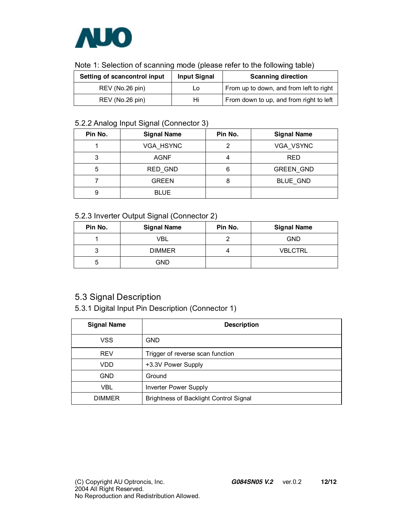

| Setting of scancontrol input | <b>Input Signal</b> | <b>Scanning direction</b>               |
|------------------------------|---------------------|-----------------------------------------|
| REV (No.26 pin)              | Lo                  | From up to down, and from left to right |
| REV (No.26 pin)              | Hi                  | From down to up, and from right to left |

### 5.2.2 Analog Input Signal (Connector 3)

| Pin No. | <b>Signal Name</b> | Pin No. | <b>Signal Name</b> |
|---------|--------------------|---------|--------------------|
|         | VGA HSYNC          |         | VGA VSYNC          |
| 3       | <b>AGNF</b>        |         | RED                |
| 5       | RED GND            | 6       | <b>GREEN GND</b>   |
|         | <b>GREEN</b>       | 8       | <b>BLUE GND</b>    |
| 9       | <b>BLUE</b>        |         |                    |

### 5.2.3 Inverter Output Signal (Connector 2)

| Pin No. | <b>Signal Name</b> | Pin No. | <b>Signal Name</b> |
|---------|--------------------|---------|--------------------|
|         | <b>VBL</b>         |         | <b>GND</b>         |
| ◠       | <b>DIMMER</b>      |         | <b>VBLCTRL</b>     |
| 5       | <b>GND</b>         |         |                    |

## 5.3 Signal Description

5.3.1 Digital Input Pin Description (Connector 1)

| <b>Signal Name</b> | <b>Description</b>                            |
|--------------------|-----------------------------------------------|
| <b>VSS</b>         | <b>GND</b>                                    |
| <b>REV</b>         | Trigger of reverse scan function              |
| VDD                | +3.3V Power Supply                            |
| <b>GND</b>         | Ground                                        |
| <b>VBL</b>         | Inverter Power Supply                         |
| <b>DIMMER</b>      | <b>Brightness of Backlight Control Signal</b> |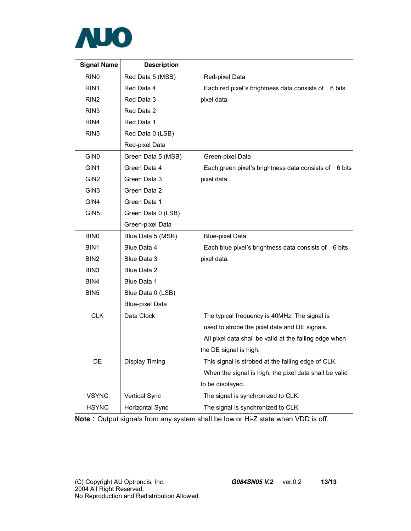

| <b>Signal Name</b> | <b>Description</b>     |                                                          |
|--------------------|------------------------|----------------------------------------------------------|
| RIN <sub>0</sub>   | Red Data 5 (MSB)       | Red-pixel Data                                           |
| RIN <sub>1</sub>   | Red Data 4             | Each red pixel's brightness data consists of<br>6 bits   |
| RIN <sub>2</sub>   | Red Data 3             | pixel data.                                              |
| RIN <sub>3</sub>   | Red Data 2             |                                                          |
| RIN <sub>4</sub>   | Red Data 1             |                                                          |
| RIN <sub>5</sub>   | Red Data 0 (LSB)       |                                                          |
|                    | Red-pixel Data         |                                                          |
| GIN <sub>0</sub>   | Green Data 5 (MSB)     | Green-pixel Data                                         |
| GIN <sub>1</sub>   | Green Data 4           | Each green pixel's brightness data consists of<br>6 bits |
| GIN <sub>2</sub>   | Green Data 3           | pixel data.                                              |
| GIN <sub>3</sub>   | Green Data 2           |                                                          |
| GIN4               | Green Data 1           |                                                          |
| GIN <sub>5</sub>   | Green Data 0 (LSB)     |                                                          |
|                    | Green-pixel Data       |                                                          |
| BIN <sub>0</sub>   | Blue Data 5 (MSB)      | <b>Blue-pixel Data</b>                                   |
| BIN1               | Blue Data 4            | Each blue pixel's brightness data consists of<br>6 bits  |
| BIN <sub>2</sub>   | Blue Data 3            | pixel data.                                              |
| BIN <sub>3</sub>   | Blue Data 2            |                                                          |
| BIN4               | Blue Data 1            |                                                          |
| BIN <sub>5</sub>   | Blue Data 0 (LSB)      |                                                          |
|                    | <b>Blue-pixel Data</b> |                                                          |
| <b>CLK</b>         | Data Clock             | The typical frequency is 40MHz. The signal is            |
|                    |                        | used to strobe the pixel data and DE signals.            |
|                    |                        | All pixel data shall be valid at the falling edge when   |
|                    |                        | the DE signal is high.                                   |
| DE                 | Display Timing         | This signal is strobed at the falling edge of CLK.       |
|                    |                        | When the signal is high, the pixel data shall be valid   |
|                    |                        | to be displayed.                                         |
| <b>VSYNC</b>       | <b>Vertical Sync</b>   | The signal is synchronized to CLK.                       |
| <b>HSYNC</b>       | Horizontal Sync        | The signal is synchronized to CLK.                       |

**Note**: Output signals from any system shall be low or Hi-Z state when VDD is off.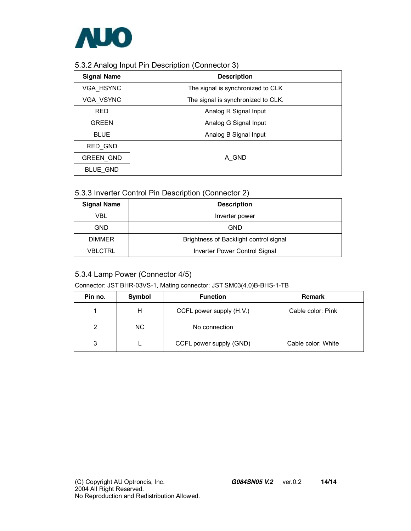

#### 5.3.2 Analog Input Pin Description (Connector 3)

| <b>Signal Name</b> | <b>Description</b>                 |
|--------------------|------------------------------------|
| <b>VGA HSYNC</b>   | The signal is synchronized to CLK  |
| <b>VGA VSYNC</b>   | The signal is synchronized to CLK. |
| <b>RED</b>         | Analog R Signal Input              |
| <b>GREEN</b>       | Analog G Signal Input              |
| <b>BLUE</b>        | Analog B Signal Input              |
| RED GND            |                                    |
| <b>GREEN GND</b>   | A GND                              |
| BLUE GND           |                                    |

### 5.3.3 Inverter Control Pin Description (Connector 2)

| <b>Signal Name</b> | <b>Description</b>                     |
|--------------------|----------------------------------------|
| VBL                | Inverter power                         |
| GND                | <b>GND</b>                             |
| <b>DIMMER</b>      | Brightness of Backlight control signal |
| <b>VBLCTRL</b>     | Inverter Power Control Signal          |

### 5.3.4 Lamp Power (Connector 4/5)

#### Connector: JST BHR-03VS-1, Mating connector: JST SM03(4.0)B-BHS-1-TB

| Pin no. | Symbol | <b>Function</b>          | <b>Remark</b>      |
|---------|--------|--------------------------|--------------------|
|         | н      | CCFL power supply (H.V.) | Cable color: Pink  |
|         | NC.    | No connection            |                    |
| 3       |        | CCFL power supply (GND)  | Cable color: White |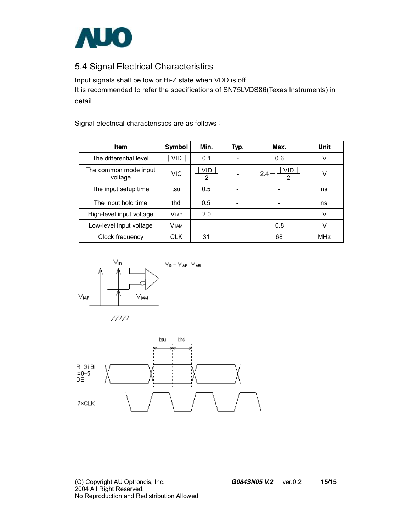

## 5.4 Signal Electrical Characteristics

Input signals shall be low or Hi-Z state when VDD is off. It is recommended to refer the specifications of SN75LVDS86(Texas Instruments) in detail.

Signal electrical characteristics are as follows:

| Item                             | Symbol      | Min.      | Typ. | Max.                          | Unit |
|----------------------------------|-------------|-----------|------|-------------------------------|------|
| The differential level           | VID.        | 0.1       |      | 0.6                           | v    |
| The common mode input<br>voltage | <b>VIC</b>  | VID.<br>2 |      | VID.<br>2.4<br>$\mathfrak{p}$ | v    |
| The input setup time             | tsu         | 0.5       |      |                               | ns   |
| The input hold time              | thd         | 0.5       |      | -                             | ns   |
| High-level input voltage         | <b>VIAP</b> | 2.0       |      |                               | v    |
| Low-level input voltage          | <b>VIAM</b> |           |      | 0.8                           | v    |
| Clock frequency                  | CLK         | 31        |      | 68                            | MHz  |



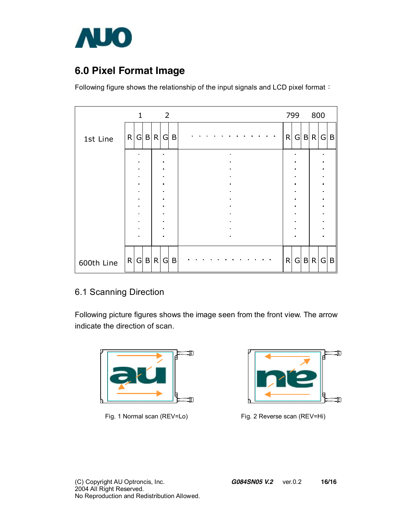

## **6.0 Pixel Format Image**

Following figure shows the relationship of the input signals and LCD pixel format:

|            |   | $\mathbf{1}$                     |       |   | $\overline{\phantom{0}}$         |   |  |  |                                  |                |  |  |  |              | 799                              |   | 800          |                                  |              |
|------------|---|----------------------------------|-------|---|----------------------------------|---|--|--|----------------------------------|----------------|--|--|--|--------------|----------------------------------|---|--------------|----------------------------------|--------------|
| 1st Line   | R |                                  | G B R |   | G                                | B |  |  |                                  |                |  |  |  | R            | $\mathsf{G}$                     |   | B R          | G                                | $\mathsf{B}$ |
|            |   | $\blacksquare$<br>$\blacksquare$ |       |   | $\blacksquare$<br>$\blacksquare$ |   |  |  | $\blacksquare$<br>$\blacksquare$ |                |  |  |  |              | $\bullet$                        |   |              | $\blacksquare$                   |              |
|            |   | $\blacksquare$                   |       |   | $\blacksquare$                   |   |  |  |                                  |                |  |  |  |              |                                  |   |              | $\blacksquare$                   |              |
|            |   | $\blacksquare$<br>$\blacksquare$ |       |   | $\blacksquare$<br>$\blacksquare$ |   |  |  | $\bullet$<br>$\blacksquare$      |                |  |  |  |              | $\blacksquare$<br>$\blacksquare$ |   |              | $\blacksquare$<br>$\blacksquare$ |              |
|            |   | ٠                                |       |   | $\blacksquare$                   |   |  |  | $\blacksquare$                   |                |  |  |  |              |                                  |   |              | ٠                                |              |
|            |   | $\blacksquare$                   |       |   | $\blacksquare$                   |   |  |  |                                  |                |  |  |  |              |                                  |   |              | $\blacksquare$                   |              |
|            |   | $\blacksquare$                   |       |   | $\blacksquare$                   |   |  |  |                                  |                |  |  |  |              |                                  |   |              | $\blacksquare$                   |              |
|            |   | $\blacksquare$<br>$\blacksquare$ |       |   | $\blacksquare$<br>$\blacksquare$ |   |  |  | $\blacksquare$<br>$\blacksquare$ |                |  |  |  |              | $\blacksquare$                   |   |              | $\blacksquare$<br>$\blacksquare$ |              |
|            |   | $\blacksquare$                   |       |   | $\blacksquare$                   |   |  |  |                                  |                |  |  |  |              |                                  |   |              | n                                |              |
|            |   | $\blacksquare$                   |       |   | $\blacksquare$                   |   |  |  |                                  | $\blacksquare$ |  |  |  |              |                                  |   |              | $\blacksquare$                   |              |
|            |   |                                  |       |   |                                  |   |  |  |                                  |                |  |  |  |              |                                  |   |              |                                  |              |
| 600th Line |   | R G B                            |       | R | G                                | B |  |  |                                  |                |  |  |  | $\mathsf{R}$ | G                                | B | $\mathsf{R}$ | G                                | $\mathsf{B}$ |

### 6.1 Scanning Direction

Following picture figures shows the image seen from the front view. The arrow indicate the direction of scan.



Fig. 1 Normal scan (REV=Lo) Fig. 2 Reverse scan (REV=Hi)

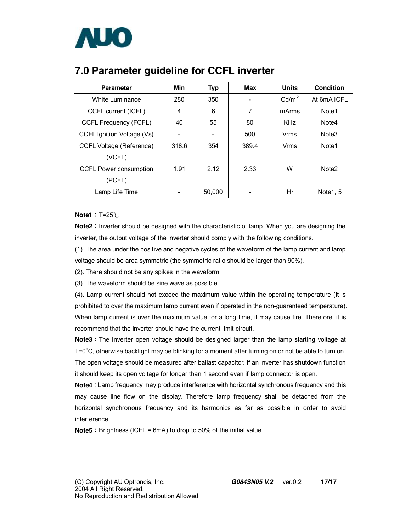

| <b>Parameter</b>                | Min   | <b>Typ</b> | <b>Max</b> | Units             | <b>Condition</b>  |
|---------------------------------|-------|------------|------------|-------------------|-------------------|
| White Luminance                 | 280   | 350        |            | Cd/m <sup>2</sup> | At 6mA ICFL       |
| CCFL current (ICFL)             | 4     | 6          | 7          | mArms             | Note1             |
| CCFL Frequency (FCFL)           | 40    | 55         | 80         | <b>KHz</b>        | Note4             |
| CCFL Ignition Voltage (Vs)      |       |            | 500        | Vrms              | Note <sub>3</sub> |
| <b>CCFL Voltage (Reference)</b> | 318.6 | 354        | 389.4      | Vrms              | Note <sub>1</sub> |
| (VCFL)                          |       |            |            |                   |                   |
| <b>CCFL Power consumption</b>   | 1.91  | 2.12       | 2.33       | W                 | Note <sub>2</sub> |
| (PCFL)                          |       |            |            |                   |                   |
| Lamp Life Time                  |       | 50,000     |            | Hr                | Note 1, 5         |

## **7.0 Parameter guideline for CCFL inverter**

**Note1**:T=25℃

Note2: Inverter should be designed with the characteristic of lamp. When you are designing the inverter, the output voltage of the inverter should comply with the following conditions.

(1). The area under the positive and negative cycles of the waveform of the lamp current and lamp voltage should be area symmetric (the symmetric ratio should be larger than 90%).

(2). There should not be any spikes in the waveform.

(3). The waveform should be sine wave as possible.

(4). Lamp current should not exceed the maximum value within the operating temperature (It is prohibited to over the maximum lamp current even if operated in the non-guaranteed temperature). When lamp current is over the maximum value for a long time, it may cause fire. Therefore, it is recommend that the inverter should have the current limit circuit.

**Note3**: The inverter open voltage should be designed larger than the lamp starting voltage at T=0 $\rm{^{\circ}C}$ , otherwise backlight may be blinking for a moment after turning on or not be able to turn on. The open voltage should be measured after ballast capacitor. If an inverter has shutdown function it should keep its open voltage for longer than 1 second even if lamp connector is open.

**Note4**: Lamp frequency may produce interference with horizontal synchronous frequency and this may cause line flow on the display. Therefore lamp frequency shall be detached from the horizontal synchronous frequency and its harmonics as far as possible in order to avoid interference.

**Note5**: Brightness (ICFL = 6mA) to drop to 50% of the initial value.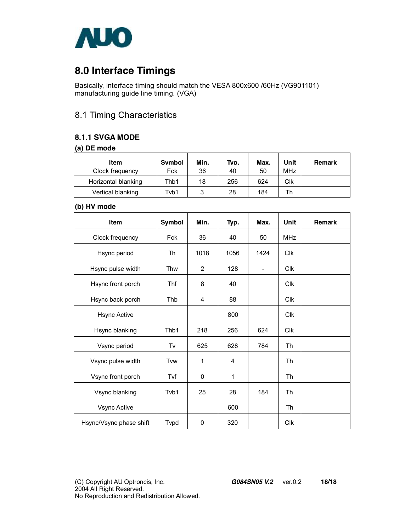

## **8.0 Interface Timings**

Basically, interface timing should match the VESA 800x600 /60Hz (VG901101) manufacturing guide line timing. (VGA)

### 8.1 Timing Characteristics

### **8.1.1 SVGA MODE**

#### **(a) DE mode**

| Item                | <b>Symbol</b> | Min. | Tvp. | Max. | Unit | Remark |
|---------------------|---------------|------|------|------|------|--------|
| Clock frequency     | Fck           | 36   | 40   | 50   | MHz  |        |
| Horizontal blanking | Thb1          | 18   | 256  | 624  | Clk  |        |
| Vertical blanking   | Tvb1          | າ    | 28   | 184  | Th   |        |

#### **(b) HV mode**

| Item                    | Symbol | Min. | Typ. | Max.                     | Unit       | <b>Remark</b> |
|-------------------------|--------|------|------|--------------------------|------------|---------------|
| Clock frequency         | Fck    | 36   | 40   | 50                       | <b>MHz</b> |               |
| Hsync period            | Th     | 1018 | 1056 | 1424                     | <b>Clk</b> |               |
| Hsync pulse width       | Thw    | 2    | 128  | $\overline{\phantom{0}}$ | Clk        |               |
| Hsync front porch       | Thf    | 8    | 40   |                          | <b>Clk</b> |               |
| Hsync back porch        | Thb    | 4    | 88   |                          | <b>CIK</b> |               |
| <b>Hsync Active</b>     |        |      | 800  |                          | <b>Clk</b> |               |
| Hsync blanking          | Thb1   | 218  | 256  | 624                      | <b>Clk</b> |               |
| Vsync period            | Tv     | 625  | 628  | 784                      | Th         |               |
| Vsync pulse width       | Tvw    | 1    | 4    |                          | Th         |               |
| Vsync front porch       | Tvf    | 0    | 1    |                          | Th         |               |
| Vsync blanking          | Tvb1   | 25   | 28   | 184                      | Th         |               |
| Vsync Active            |        |      | 600  |                          | Th         |               |
| Hsync/Vsync phase shift | Tvpd   | 0    | 320  |                          | <b>Clk</b> |               |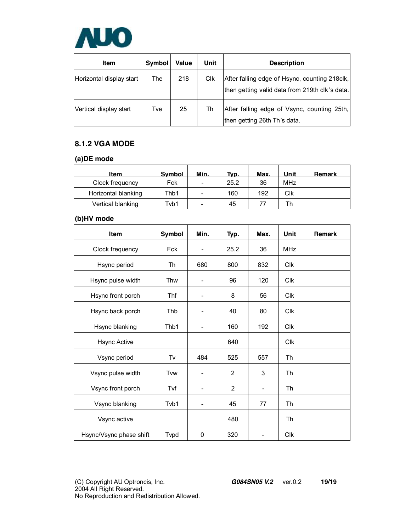

| <b>Item</b>              | Symbol | Value | Unit | <b>Description</b>                                                                              |
|--------------------------|--------|-------|------|-------------------------------------------------------------------------------------------------|
| Horizontal display start | The    | 218   | Clk  | After falling edge of Hsync, counting 218clk,<br>then getting valid data from 219th clk's data. |
| Vertical display start   | Tve    | 25    | Th   | After falling edge of Vsync, counting 25th,<br>then getting 26th Th's data.                     |

### **8.1.2 VGA MODE**

#### **(a)DE mode**

| <b>Item</b>         | Symbol | Min. | Typ. | Max. | Unit       | Remark |
|---------------------|--------|------|------|------|------------|--------|
| Clock frequency     | Fck    | -    | 25.2 | 36   | <b>MHz</b> |        |
| Horizontal blanking | Thb1   | -    | 160  | 192  | Clk        |        |
| Vertical blanking   | Tvb1   | -    | 45   | 77   |            |        |

### **(b)HV mode**

| <b>Item</b>             | Symbol     | Min.                         | Typ.           | Max.           | Unit       | <b>Remark</b> |
|-------------------------|------------|------------------------------|----------------|----------------|------------|---------------|
| Clock frequency         | <b>Fck</b> | $\overline{a}$               | 25.2           | 36             | <b>MHz</b> |               |
| Hsync period            | Th         | 680                          | 800            | 832            | <b>Clk</b> |               |
| Hsync pulse width       | Thw        | ۰                            | 96             | 120            | <b>Clk</b> |               |
| Hsync front porch       | Thf        |                              | 8              | 56             | <b>Clk</b> |               |
| Hsync back porch        | Thb        |                              | 40             | 80             | <b>CIK</b> |               |
| Hsync blanking          | Thb1       | $\overline{\phantom{0}}$     | 160            | 192            | <b>Clk</b> |               |
| <b>Hsync Active</b>     |            |                              | 640            |                | <b>Clk</b> |               |
| Vsync period            | Tv         | 484                          | 525            | 557            | Th         |               |
| Vsync pulse width       | Tww        | $\qquad \qquad \blacksquare$ | $\overline{2}$ | 3              | Th         |               |
| Vsync front porch       | Tvf        | $\overline{\phantom{0}}$     | 2              | $\overline{a}$ | Th         |               |
| Vsync blanking          | Tvb1       |                              | 45             | 77             | Th         |               |
| Vsync active            |            |                              | 480            |                | Th         |               |
| Hsync/Vsync phase shift | Tvpd       | $\mathbf{0}$                 | 320            |                | <b>CIK</b> |               |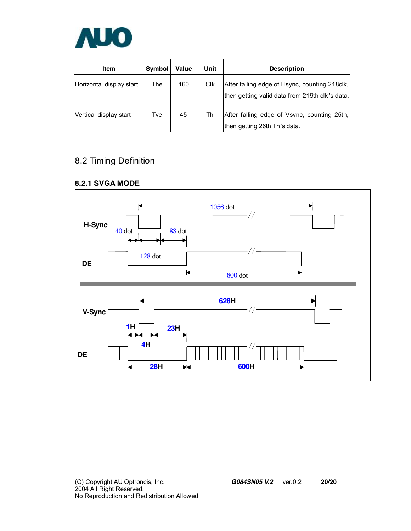

| <b>Item</b>              | Symbol | Value | Unit       | <b>Description</b>                                                                              |
|--------------------------|--------|-------|------------|-------------------------------------------------------------------------------------------------|
| Horizontal display start | The    | 160   | <b>CIK</b> | After falling edge of Hsync, counting 218clk,<br>then getting valid data from 219th clk's data. |
| Vertical display start   | Tve    | 45    | Th         | After falling edge of Vsync, counting 25th,<br>then getting 26th Th's data.                     |

## 8.2 Timing Definition

### **8.2.1 SVGA MODE**

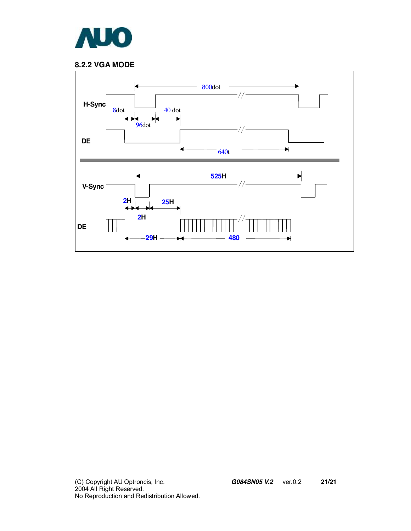

### **8.2.2 VGA MODE**

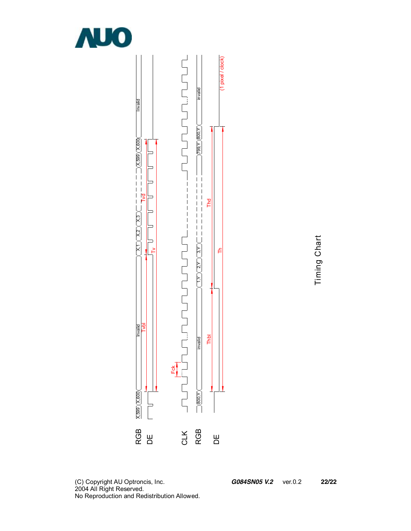



Timin g  $\circ$ 드 art

 $\mathsf I$ 

 $\overline{\phantom{a}}$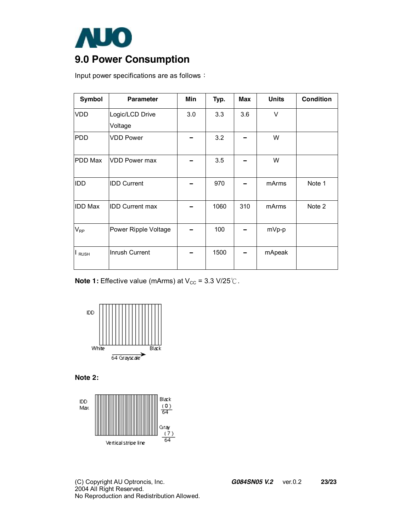

# **9.0 Power Consumption**

Input power specifications are as follows:

| Symbol         | <b>Parameter</b>       | Min | Typ. | <b>Max</b> | <b>Units</b> | <b>Condition</b> |
|----------------|------------------------|-----|------|------------|--------------|------------------|
| <b>VDD</b>     | Logic/LCD Drive        | 3.0 | 3.3  | 3.6        | V            |                  |
|                | Voltage                |     |      |            |              |                  |
| <b>PDD</b>     | <b>VDD Power</b>       |     | 3.2  |            | W            |                  |
| PDD Max        | <b>VDD Power max</b>   |     | 3.5  |            | W            |                  |
| <b>IDD</b>     | <b>IDD Current</b>     |     | 970  |            | mArms        | Note 1           |
| <b>IDD Max</b> | <b>IDD Current max</b> |     | 1060 | 310        | mArms        | Note 2           |
| $V_{RP}$       | Power Ripple Voltage   |     | 100  |            | mVp-p        |                  |
| <b>RUSH</b>    | Inrush Current         |     | 1500 |            | mApeak       |                  |

**Note 1:** Effective value (mArms) at V<sub>cc</sub> = 3.3 V/25℃.



**Note 2:** 



(C) Copyright AU Optroncis, Inc. *G084SN05 V.2*ver.0.2 **23/23** 2004 All Right Reserved. No Reproduction and Redistribution Allowed.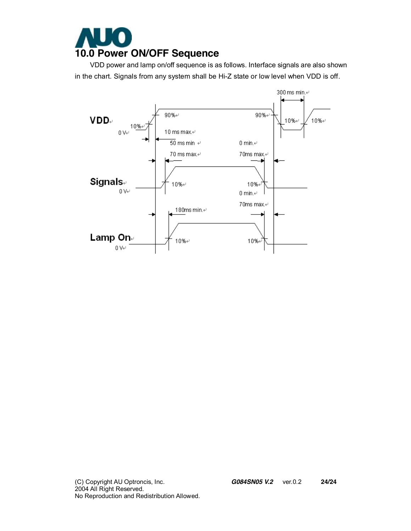

 VDD power and lamp on/off sequence is as follows. Interface signals are also shown in the chart. Signals from any system shall be Hi-Z state or low level when VDD is off.



(C) Copyright AU Optroncis, Inc. *G084SN05 V.2*ver.0.2 **24/24** 2004 All Right Reserved. No Reproduction and Redistribution Allowed.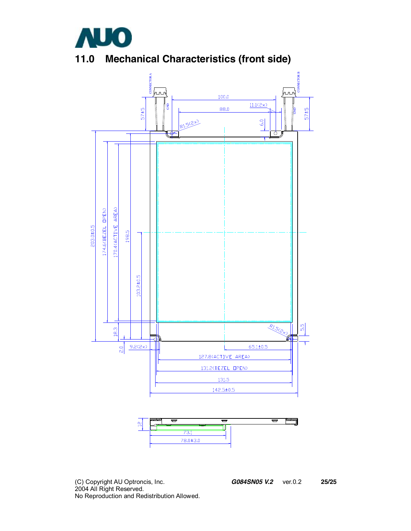

# **11.0 Mechanical Characteristics (front side)**





(C) Copyright AU Optroncis, Inc. *G084SN05 V.2*ver.0.2 **25/25** 2004 All Right Reserved. No Reproduction and Redistribution Allowed.